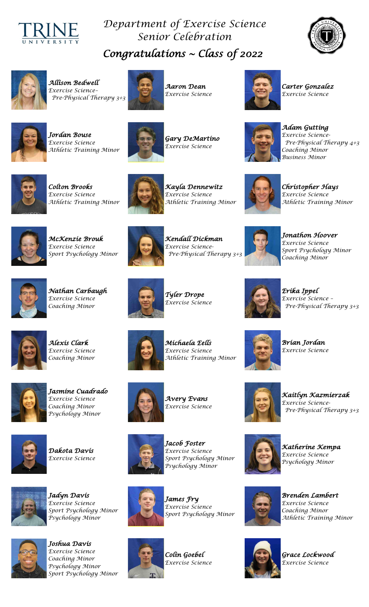

## *Department of Exercise Science Senior Celebration Congratulations ~ Class 0f 2022*





*Allison Bedwell Exercise Science– Pre-Physical Therapy 3+3*



*Aaron Dean Exercise Science*



*Carter Gonzalez Exercise Science*



*Jordan Bouse Exercise Science Athletic Training Minor*



*Gary DeMartino Exercise Science* 

 *Business Minor Adam Gutting Exercise Science- Pre-Physical Therapy 4+3 Coaching Minor*



*Colton Brooks Exercise Science Athletic Training Minor*



*Kayla Dennewitz Exercise Science Athletic Training Minor*

*Christopher Hays Exercise Science Athletic Training Minor* 



*McKenzie Brouk Exercise Science Sport Psychology Minor*



*Kendall Dickman Exercise Science- Pre-Physical Therapy 3+3*



*Jonathon Hoover Exercise Science Sport Psychology Minor Coaching Minor*



*Nathan Carbaugh Exercise Science Coaching Minor*



*Tyler Drope Exercise Science* 

*Michaela Eells* 

*Athletic Training Minor*

*Erika Ippel Exercise Science – Pre-Physical Therapy 3+3* 

*Brian Jordan Exercise Science*



*Alexis Clark Exercise Science Coaching Minor*

*Jasmine Cuadrado Exercise Science Coaching Minor Psychology Minor*



*Dakota Davis Exercise Science*



*Jadyn Davis Exercise Science Sport Psychology Minor Psychology Minor*



*Joshua Davis Exercise Science Coaching Minor Psychology Minor Sport Psychology Minor* 





*Avery Evans Exercise Science*

*Jacob Foster Exercise Science Sport Psychology Minor Psychology Minor* 



*James Fry Exercise Science Sport Psychology Minor* 



*Colin Goebel Exercise Science* 



*Katherine Kempa Exercise Science Psychology Minor* 

*Kaitlyn Kazmierzak* 

 *Pre-Physical Therapy 3+3*

*Exercise Science-* 



*Brenden Lambert Exercise Science Coaching Minor Athletic Training Minor* 



*Grace Lockwood Exercise Science*